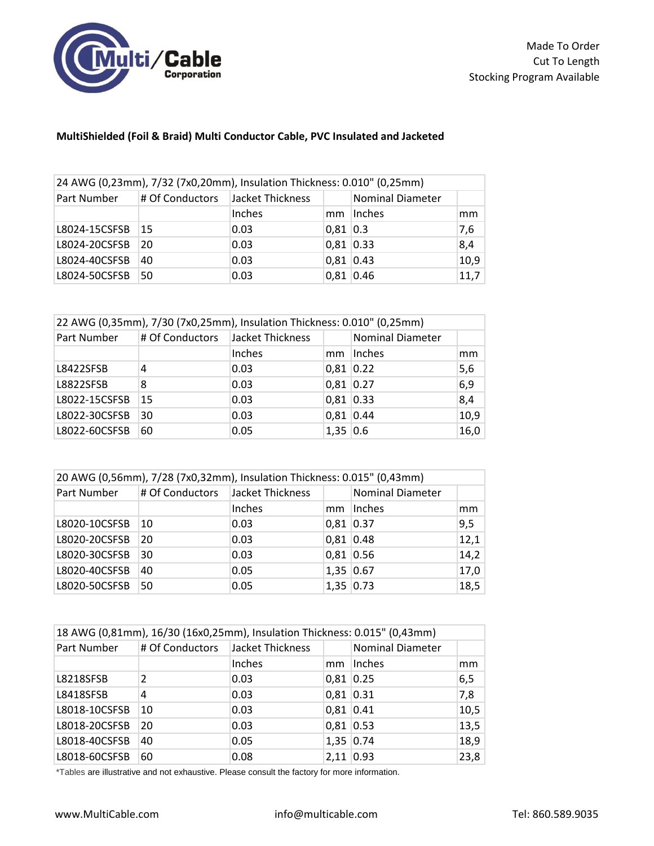

## **MultiShielded (Foil & Braid) Multi Conductor Cable, PVC Insulated and Jacketed**

| 24 AWG (0,23mm), 7/32 (7x0,20mm), Insulation Thickness: 0.010" (0,25mm) |                                  |        |            |                         |      |
|-------------------------------------------------------------------------|----------------------------------|--------|------------|-------------------------|------|
| Part Number                                                             | # Of Conductors Jacket Thickness |        |            | <b>Nominal Diameter</b> |      |
|                                                                         |                                  | Inches | mm         | Inches                  | mm   |
| L8024-15CSFSB                                                           | 15                               | 0.03   | $0,81$ 0.3 |                         | 7,6  |
| L8024-20CSFSB                                                           | 20                               | 0.03   | 0,81 0.33  |                         | 8,4  |
| L8024-40CSFSB                                                           | 40                               | 0.03   | 0,81 0.43  |                         | 10,9 |
| L8024-50CSFSB                                                           | 50                               | 0.03   | 0,81 0.46  |                         | 11,7 |

| 22 AWG (0,35mm), 7/30 (7x0,25mm), Insulation Thickness: 0.010" (0,25mm) |                 |                  |             |                         |      |
|-------------------------------------------------------------------------|-----------------|------------------|-------------|-------------------------|------|
| Part Number                                                             | # Of Conductors | Jacket Thickness |             | <b>Nominal Diameter</b> |      |
|                                                                         |                 | Inches           | mm          | Inches                  | mm   |
| L8422SFSB                                                               | 4               | 0.03             | $0,81$ 0.22 |                         | 5,6  |
| <b>L8822SFSB</b>                                                        | 8               | 0.03             | $0,81$ 0.27 |                         | 6,9  |
| L8022-15CSFSB                                                           | 15              | 0.03             | $0,81$ 0.33 |                         | 8,4  |
| L8022-30CSFSB                                                           | 30              | 0.03             | $0,81$ 0.44 |                         | 10,9 |
| L8022-60CSFSB                                                           | 60              | 0.05             | $1,35$ 0.6  |                         | 16,0 |

| 20 AWG (0,56mm), 7/28 (7x0,32mm), Insulation Thickness: 0.015" (0,43mm) |                 |                  |             |                         |      |
|-------------------------------------------------------------------------|-----------------|------------------|-------------|-------------------------|------|
| Part Number                                                             | # Of Conductors | Jacket Thickness |             | <b>Nominal Diameter</b> |      |
|                                                                         |                 | Inches           | mm          | Inches                  | mm   |
| L8020-10CSFSB                                                           | 10              | 0.03             | $0,81$ 0.37 |                         | 9,5  |
| L8020-20CSFSB                                                           | 20              | 0.03             | $0,81$ 0.48 |                         | 12,1 |
| L8020-30CSFSB                                                           | 30              | 0.03             | 0,81 0.56   |                         | 14,2 |
| L8020-40CSFSB                                                           | 40              | 0.05             | 1,35 0.67   |                         | 17,0 |
| L8020-50CSFSB                                                           | 50              | 0.05             | 1,35 0.73   |                         | 18,5 |

| 18 AWG (0,81mm), 16/30 (16x0,25mm), Insulation Thickness: 0.015" (0,43mm) |                                  |        |             |                         |      |  |
|---------------------------------------------------------------------------|----------------------------------|--------|-------------|-------------------------|------|--|
| Part Number                                                               | # Of Conductors Jacket Thickness |        |             | <b>Nominal Diameter</b> |      |  |
|                                                                           |                                  | Inches | mm          | Inches                  | mm   |  |
| L8218SFSB                                                                 | $\mathcal{P}$                    | 0.03   | $0,81$ 0.25 |                         | 6,5  |  |
| L8418SFSB                                                                 | 4                                | 0.03   | $0,81$ 0.31 |                         | 7,8  |  |
| L8018-10CSFSB                                                             | 10                               | 0.03   | $0,81$ 0.41 |                         | 10,5 |  |
| L8018-20CSFSB                                                             | 20                               | 0.03   | $0,81$ 0.53 |                         | 13,5 |  |
| L8018-40CSFSB                                                             | 40                               | 0.05   | 1,35 0.74   |                         | 18,9 |  |
| L8018-60CSFSB                                                             | 60                               | 0.08   | $2,11$ 0.93 |                         | 23,8 |  |

\*Tables are illustrative and not exhaustive. Please consult the factory for more information.